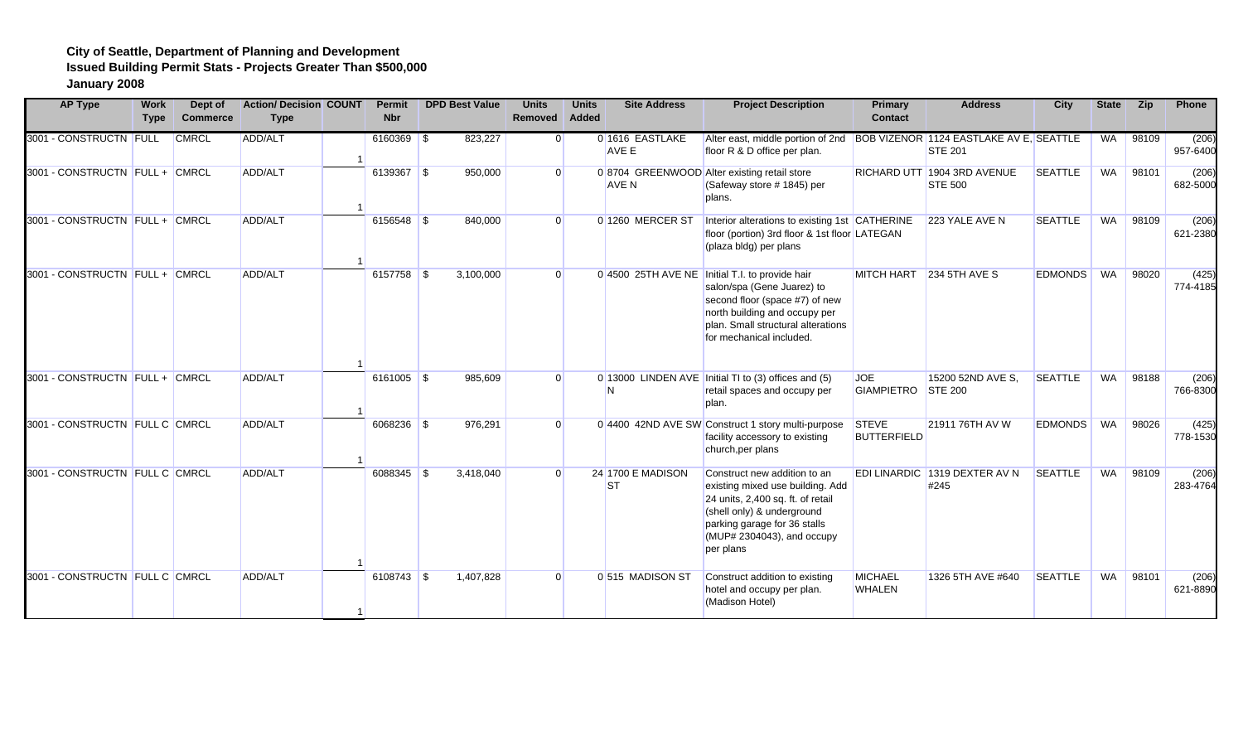| <b>AP Type</b>                 | <b>Work</b><br><b>Type</b> | Dept of<br><b>Commerce</b> | <b>Action/Decision COUNT</b><br><b>Type</b> | <b>Permit</b><br><b>Nbr</b> | <b>DPD Best Value</b> | <b>Units</b><br>Removed Added | <b>Units</b> | <b>Site Address</b>             | <b>Project Description</b>                                                                                                                                                                                         | <b>Primary</b><br><b>Contact</b> | <b>Address</b>                                       | City           | <b>State</b> | <b>Zip</b> | Phone             |
|--------------------------------|----------------------------|----------------------------|---------------------------------------------|-----------------------------|-----------------------|-------------------------------|--------------|---------------------------------|--------------------------------------------------------------------------------------------------------------------------------------------------------------------------------------------------------------------|----------------------------------|------------------------------------------------------|----------------|--------------|------------|-------------------|
| 3001 - CONSTRUCTN FULL         |                            | <b>CMRCL</b>               | ADD/ALT                                     | $6160369$ \$                | 823,227               |                               |              | 0 1616 EASTLAKE<br><b>AVE E</b> | Alter east, middle portion of 2nd BOB VIZENOR 1124 EASTLAKE AV E, SEATTLE<br>floor R & D office per plan.                                                                                                          |                                  | <b>STE 201</b>                                       |                | WA           | 98109      | (206)<br>957-6400 |
| 3001 - CONSTRUCTN FULL + CMRCL |                            |                            | ADD/ALT                                     | 6139367 \$                  | 950,000               | $\Omega$                      |              | <b>AVE N</b>                    | 0 8704 GREENWOOD Alter existing retail store<br>(Safeway store # 1845) per<br>plans.                                                                                                                               |                                  | <b>RICHARD UTT 1904 3RD AVENUE</b><br><b>STE 500</b> | <b>SEATTLE</b> | WA           | 98101      | (206)<br>682-5000 |
| 3001 - CONSTRUCTN FULL + CMRCL |                            |                            | ADD/ALT                                     | 6156548 \$                  | 840,000               |                               |              | 0 1260 MERCER ST                | Interior alterations to existing 1st CATHERINE<br>floor (portion) 3rd floor & 1st floor LATEGAN<br>(plaza bldg) per plans                                                                                          |                                  | 223 YALE AVE N                                       | <b>SEATTLE</b> | WA           | 98109      | (206)<br>621-2380 |
| 3001 - CONSTRUCTN FULL + CMRCL |                            |                            | ADD/ALT                                     |                             | 3,100,000             |                               |              |                                 | 0 4500 25TH AVE NE Initial T.I. to provide hair<br>salon/spa (Gene Juarez) to<br>second floor (space #7) of new<br>north building and occupy per<br>plan. Small structural alterations<br>for mechanical included. |                                  | MITCH HART 234 5TH AVE S                             | <b>EDMONDS</b> | WA           | 98020      | (425)<br>774-4185 |
| 3001 - CONSTRUCTN FULL + CMRCL |                            |                            | ADD/ALT                                     | $6161005$ \$                | 985,609               |                               |              | N                               | 0 13000 LINDEN AVE Initial TI to (3) offices and (5)<br>retail spaces and occupy per<br>plan.                                                                                                                      | <b>JOE</b><br><b>GIAMPIETRO</b>  | 15200 52ND AVE S.<br><b>STE 200</b>                  | <b>SEATTLE</b> | <b>WA</b>    | 98188      | (206)<br>766-8300 |
| 3001 - CONSTRUCTN FULL C CMRCL |                            |                            | ADD/ALT                                     | $6068236$ \$                | 976,291               | $\Omega$                      |              |                                 | 0 4400 42ND AVE SW Construct 1 story multi-purpose<br>facility accessory to existing<br>church, per plans                                                                                                          | STEVE<br><b>BUTTERFIELD</b>      | 21911 76TH AV W                                      | <b>EDMONDS</b> | WA           | 98026      | (425)<br>778-1530 |
| 3001 - CONSTRUCTN FULL C CMRCL |                            |                            | ADD/ALT                                     | 6088345 \$                  | 3,418,040             |                               |              | 24 1700 E MADISON<br><b>ST</b>  | Construct new addition to an<br>existing mixed use building. Add<br>24 units, 2,400 sq. ft. of retail<br>(shell only) & underground<br>parking garage for 36 stalls<br>(MUP# 2304043), and occupy<br>per plans     |                                  | EDI LINARDIC 1319 DEXTER AV N<br>#245                | <b>SEATTLE</b> | WA           | 98109      | (206)<br>283-4764 |
| 3001 - CONSTRUCTN FULL C CMRCL |                            |                            | ADD/ALT                                     | $6108743$ \$                | 1,407,828             |                               |              | 0 515 MADISON ST                | Construct addition to existing<br>hotel and occupy per plan.<br>(Madison Hotel)                                                                                                                                    | <b>MICHAEL</b><br><b>WHALEN</b>  | 1326 5TH AVE #640                                    | <b>SEATTLE</b> | WA           | 98101      | (206)<br>621-8890 |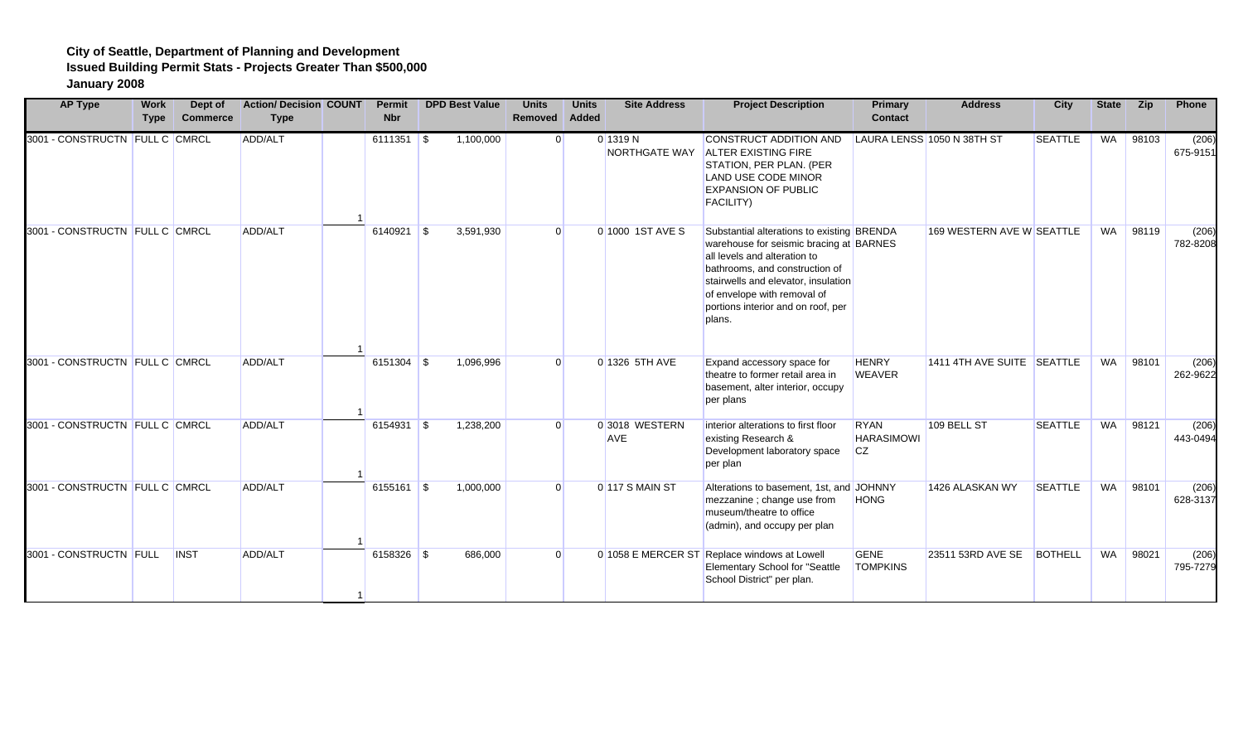| <b>AP Type</b>                 | <b>Work</b><br><b>Type</b> | Dept of<br><b>Commerce</b> | <b>Action/Decision COUNT</b><br><b>Type</b> | <b>Permit</b><br><b>Nbr</b> |      | <b>DPD Best Value</b> | <b>Units</b><br>Removed | <b>Units</b><br>Added | <b>Site Address</b>          | <b>Project Description</b>                                                                                                                                                                                                                                                    | Primary<br><b>Contact</b>                     | <b>Address</b>             | City           | <b>State</b> | Zip   | Phone             |
|--------------------------------|----------------------------|----------------------------|---------------------------------------------|-----------------------------|------|-----------------------|-------------------------|-----------------------|------------------------------|-------------------------------------------------------------------------------------------------------------------------------------------------------------------------------------------------------------------------------------------------------------------------------|-----------------------------------------------|----------------------------|----------------|--------------|-------|-------------------|
| 3001 - CONSTRUCTN FULL C CMRCL |                            |                            | ADD/ALT                                     |                             |      | 1,100,000             | $\overline{0}$          |                       | $0'$ 1319 N<br>NORTHGATE WAY | <b>CONSTRUCT ADDITION AND</b><br><b>ALTER EXISTING FIRE</b><br>STATION, PER PLAN. (PER<br><b>LAND USE CODE MINOR</b><br><b>EXPANSION OF PUBLIC</b><br>FACILITY)                                                                                                               |                                               | LAURA LENSS 1050 N 38TH ST | <b>SEATTLE</b> | WA           | 98103 | (206)<br>675-9151 |
| 3001 - CONSTRUCTN FULL C CMRCL |                            |                            | ADD/ALT                                     |                             |      | 3,591,930             | $\Omega$                |                       | 0 1000 1ST AVE S             | Substantial alterations to existing BRENDA<br>warehouse for seismic bracing at BARNES<br>all levels and alteration to<br>bathrooms, and construction of<br>stairwells and elevator, insulation<br>of envelope with removal of<br>portions interior and on roof, per<br>plans. |                                               | 169 WESTERN AVE W SEATTLE  |                | WA           | 98119 | (206)<br>782-8208 |
| 3001 - CONSTRUCTN FULL C CMRCL |                            |                            | ADD/ALT                                     | $6151304$ \$                |      | 1,096,996             | $\Omega$                |                       | 0 1326 5TH AVE               | Expand accessory space for<br>theatre to former retail area in<br>basement, alter interior, occupy<br>per plans                                                                                                                                                               | <b>HENRY</b><br><b>WEAVER</b>                 | 1411 4TH AVE SUITE SEATTLE |                | WA           | 98101 | (206)<br>262-9622 |
| 3001 - CONSTRUCTN FULL C CMRCL |                            |                            | ADD/ALT                                     | 6154931                     | l \$ | 1,238,200             | $\Omega$                |                       | 0 3018 WESTERN<br><b>AVE</b> | interior alterations to first floor<br>existing Research &<br>Development laboratory space<br>per plan                                                                                                                                                                        | <b>RYAN</b><br><b>HARASIMOWI</b><br><b>CZ</b> | 109 BELL ST                | <b>SEATTLE</b> | WA           | 98121 | (206)<br>443-0494 |
| 3001 - CONSTRUCTN FULL C CMRCL |                            |                            | ADD/ALT                                     | $6155161$ \$                |      | 1,000,000             | $\Omega$                |                       | 0 117 S MAIN ST              | Alterations to basement. 1st. and JOHNNY<br>mezzanine ; change use from<br>museum/theatre to office<br>(admin), and occupy per plan                                                                                                                                           | HONG                                          | 1426 ALASKAN WY            | <b>SEATTLE</b> | <b>WA</b>    | 98101 | (206)<br>628-3137 |
| 3001 - CONSTRUCTN FULL         |                            | <b>INST</b>                | ADD/ALT                                     | 6158326 \$                  |      | 686,000               | $\overline{0}$          |                       |                              | 0 1058 E MERCER ST Replace windows at Lowell<br><b>Elementary School for "Seattle</b><br>School District" per plan.                                                                                                                                                           | <b>GENE</b><br><b>TOMPKINS</b>                | 23511 53RD AVE SE          | <b>BOTHELL</b> | WA           | 98021 | (206)<br>795-7279 |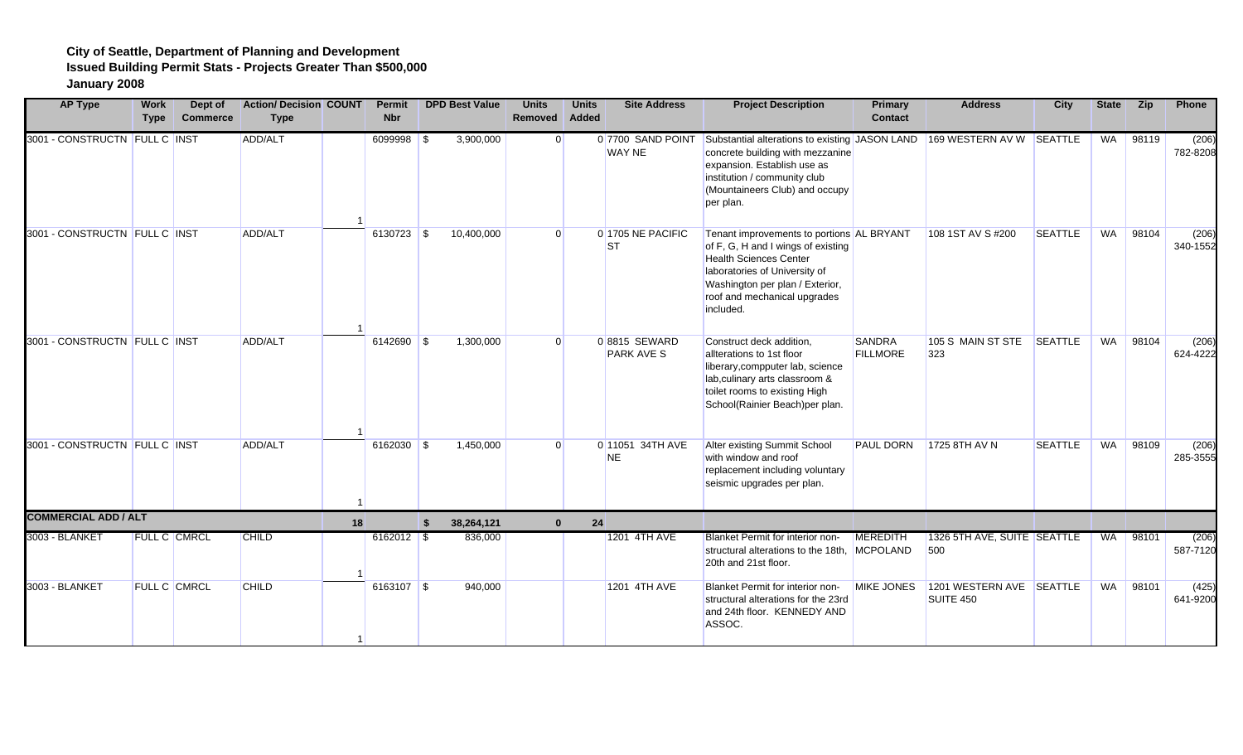| <b>AP Type</b>                | <b>Work</b><br><b>Type</b> | Dept of<br><b>Commerce</b> | <b>Action/ Decision COUNT</b><br><b>Type</b> |    | <b>Permit</b><br><b>Nbr</b> | <b>DPD Best Value</b> | <b>Units</b><br>Removed | <b>Units</b><br>Added | <b>Site Address</b>                | <b>Project Description</b>                                                                                                                                                                                                        | <b>Primary</b><br><b>Contact</b> | <b>Address</b>                        | City           | <b>State</b> | <b>Zip</b> | Phone             |
|-------------------------------|----------------------------|----------------------------|----------------------------------------------|----|-----------------------------|-----------------------|-------------------------|-----------------------|------------------------------------|-----------------------------------------------------------------------------------------------------------------------------------------------------------------------------------------------------------------------------------|----------------------------------|---------------------------------------|----------------|--------------|------------|-------------------|
| 3001 - CONSTRUCTN FULL C INST |                            |                            | ADD/ALT                                      |    | $6099998$ \$                | 3,900,000             | $\Omega$                |                       | 0 7700 SAND POINT<br><b>WAY NE</b> | Substantial alterations to existing JASON LAND 169 WESTERN AV W<br>concrete building with mezzanine<br>expansion. Establish use as<br>institution / community club<br>(Mountaineers Club) and occupy<br>per plan.                 |                                  |                                       | SEATTLE        | WA           | 98119      | (206)<br>782-8208 |
| 3001 - CONSTRUCTN FULL C INST |                            |                            | ADD/ALT                                      |    | $6130723$ \$                | 10,400,000            | $\Omega$                |                       | 0 1705 NE PACIFIC<br><b>ST</b>     | Tenant improvements to portions AL BRYANT<br>of F, G, H and I wings of existing<br><b>Health Sciences Center</b><br>laboratories of University of<br>Washington per plan / Exterior,<br>roof and mechanical upgrades<br>included. |                                  | 108 1ST AV S #200                     | <b>SEATTLE</b> | <b>WA</b>    | 98104      | (206)<br>340-1552 |
| 3001 - CONSTRUCTN FULL C INST |                            |                            | ADD/ALT                                      |    | 6142690 \$                  | 1,300,000             | $\Omega$                |                       | 0 8815 SEWARD<br><b>PARK AVE S</b> | Construct deck addition,<br>allterations to 1st floor<br>liberary, compputer lab, science<br>lab, culinary arts classroom &<br>toilet rooms to existing High<br>School(Rainier Beach)per plan.                                    | <b>SANDRA</b><br><b>FILLMORE</b> | 105 S MAIN ST STE<br>323              | SEATTLE        | WA           | 98104      | (206)<br>624-4222 |
| 3001 - CONSTRUCTN FULL C INST |                            |                            | ADD/ALT                                      |    | $6162030$ \$                | 1,450,000             | $\Omega$                |                       | 0 11051 34TH AVE<br><b>NE</b>      | Alter existing Summit School<br>with window and roof<br>replacement including voluntary<br>seismic upgrades per plan.                                                                                                             | <b>PAUL DORN</b>                 | 1725 8TH AV N                         | <b>SEATTLE</b> | WA           | 98109      | (206)<br>285-3555 |
| <b>COMMERCIAL ADD / ALT</b>   |                            |                            |                                              | 18 |                             | \$<br>38,264,121      | $\mathbf{0}$            | 24                    |                                    |                                                                                                                                                                                                                                   |                                  |                                       |                |              |            |                   |
| 3003 - BLANKET                |                            | <b>FULL C CMRCL</b>        | <b>CHILD</b>                                 |    | $6162012$ \$                | 836,000               |                         |                       | 1201 4TH AVE                       | <b>Blanket Permit for interior non-</b><br>structural alterations to the 18th, MCPOLAND<br>20th and 21st floor.                                                                                                                   | MEREDITH                         | 1326 5TH AVE, SUITE SEATTLE<br>500    |                | <b>WA</b>    | 98101      | (206)<br>587-7120 |
| 3003 - BLANKET                |                            | FULL C CMRCL               | <b>CHILD</b>                                 |    | 6163107 \$                  | 940,000               |                         |                       | 1201 4TH AVE                       | Blanket Permit for interior non-<br>structural alterations for the 23rd<br>and 24th floor. KENNEDY AND<br>ASSOC.                                                                                                                  | MIKE JONES                       | 1201 WESTERN AVE SEATTLE<br>SUITE 450 |                | WA           | 98101      | (425)<br>641-9200 |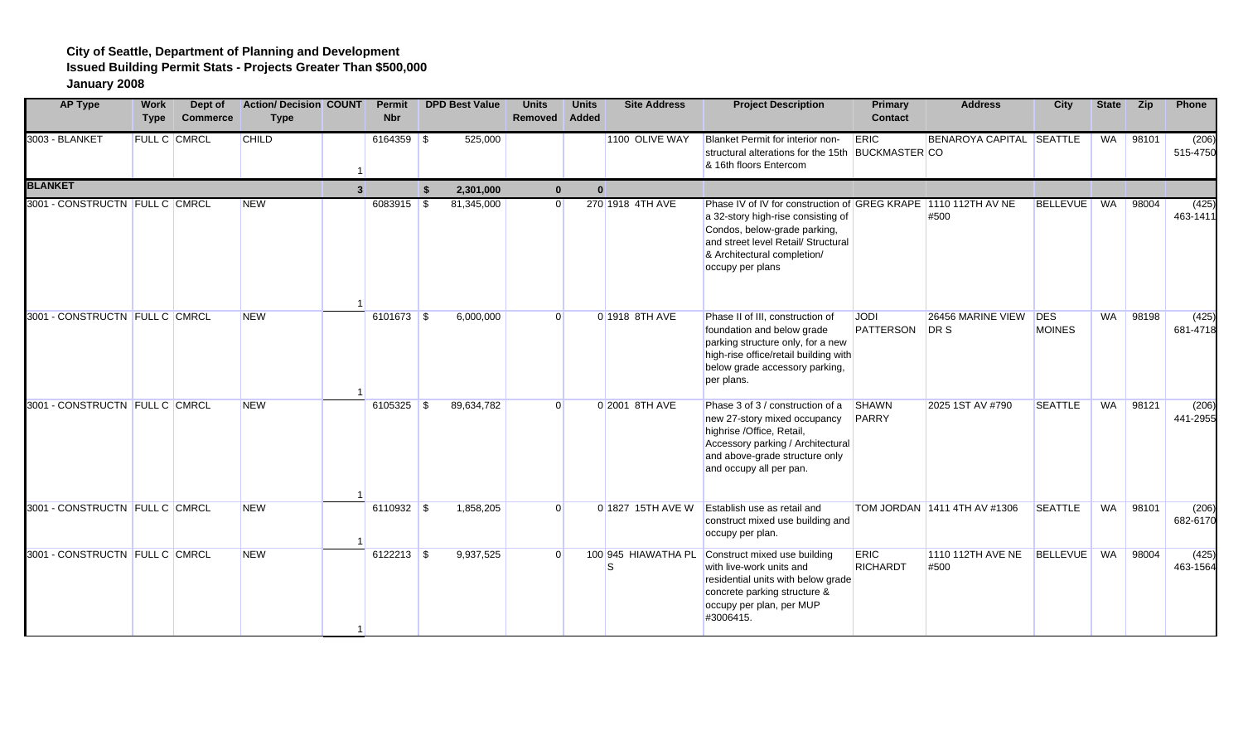| <b>AP Type</b>                 | <b>Work</b><br><b>Type</b> | Dept of<br><b>Commerce</b> | <b>Action/ Decision COUNT</b><br><b>Type</b> |              | Permit<br><b>Nbr</b> |                    | <b>DPD Best Value</b> | <b>Units</b><br><b>Removed</b> | <b>Units</b><br>Added | <b>Site Address</b>       | <b>Project Description</b>                                                                                                                                                                                                     | <b>Primary</b><br><b>Contact</b> | <b>Address</b>               | City                        | <b>State</b> | <b>Zip</b> | Phone             |
|--------------------------------|----------------------------|----------------------------|----------------------------------------------|--------------|----------------------|--------------------|-----------------------|--------------------------------|-----------------------|---------------------------|--------------------------------------------------------------------------------------------------------------------------------------------------------------------------------------------------------------------------------|----------------------------------|------------------------------|-----------------------------|--------------|------------|-------------------|
| 3003 - BLANKET                 |                            | FULL C CMRCL               | <b>CHILD</b>                                 |              | $6164359$ \$         |                    | 525,000               |                                |                       | 1100 OLIVE WAY            | Blanket Permit for interior non-<br>structural alterations for the 15th BUCKMASTER CO<br>& 16th floors Entercom                                                                                                                | ERIC                             | BENAROYA CAPITAL SEATTLE     |                             | WA           | 98101      | (206)<br>515-4750 |
| <b>BLANKET</b>                 |                            |                            |                                              | $\mathbf{R}$ |                      | $\hat{\mathbf{r}}$ | 2.301.000             | $\mathbf{0}$                   | $\mathbf{0}$          |                           |                                                                                                                                                                                                                                |                                  |                              |                             |              |            |                   |
| 3001 - CONSTRUCTN FULL C CMRCL |                            |                            | <b>NEW</b>                                   |              | $6083915$ \$         |                    | 81,345,000            | $\overline{0}$                 |                       | 270 1918 4TH AVE          | Phase IV of IV for construction of GREG KRAPE 1110 112TH AV NE<br>a 32-story high-rise consisting of<br>Condos, below-grade parking,<br>and street level Retail/ Structural<br>& Architectural completion/<br>occupy per plans |                                  | #500                         | <b>BELLEVUE</b>             | WA           | 98004      | (425)<br>463-1411 |
| 3001 - CONSTRUCTN FULL C CMRCL |                            |                            | <b>NEW</b>                                   |              |                      |                    | 6,000,000             | $\Omega$                       |                       | 0 1918 8TH AVE            | Phase II of III, construction of<br>foundation and below grade<br>parking structure only, for a new<br>high-rise office/retail building with<br>below grade accessory parking,<br>per plans.                                   | <b>JODI</b><br>PATTERSON         | 26456 MARINE VIEW<br>DR S    | <b>DES</b><br><b>MOINES</b> | <b>WA</b>    | 98198      | (425)<br>681-4718 |
| 3001 - CONSTRUCTN FULL C CMRCL |                            |                            | <b>NEW</b>                                   |              | $6105325$ \$         |                    | 89,634,782            | $\Omega$                       |                       | 0 2001 8TH AVE            | Phase 3 of 3 / construction of a<br>new 27-story mixed occupancy<br>highrise /Office, Retail,<br>Accessory parking / Architectural<br>and above-grade structure only<br>and occupy all per pan.                                | SHAWN<br>PARRY                   | 2025 1ST AV #790             | <b>SEATTLE</b>              | <b>WA</b>    | 98121      | (206)<br>441-2955 |
| 3001 - CONSTRUCTN FULL C CMRCL |                            |                            | <b>NEW</b>                                   |              | $6110932$ \$         |                    | 1,858,205             | $\Omega$                       |                       | 0 1827 15TH AVE W         | <b>Establish use as retail and</b><br>construct mixed use building and<br>occupy per plan.                                                                                                                                     |                                  | TOM JORDAN 1411 4TH AV #1306 | <b>SEATTLE</b>              | WA           | 98101      | (206)<br>682-6170 |
| 3001 - CONSTRUCTN FULL C CMRCL |                            |                            | <b>NEW</b>                                   |              | $6122213$ \$         |                    | 9,937,525             | $\Omega$                       |                       | 100 945 HIAWATHA PL<br>S. | Construct mixed use building<br>with live-work units and<br>residential units with below grade<br>concrete parking structure &<br>occupy per plan, per MUP<br>#3006415.                                                        | <b>ERIC</b><br>RICHARDT          | 1110 112TH AVE NE<br>#500    | <b>BELLEVUE</b>             | WA           | 98004      | (425)<br>463-1564 |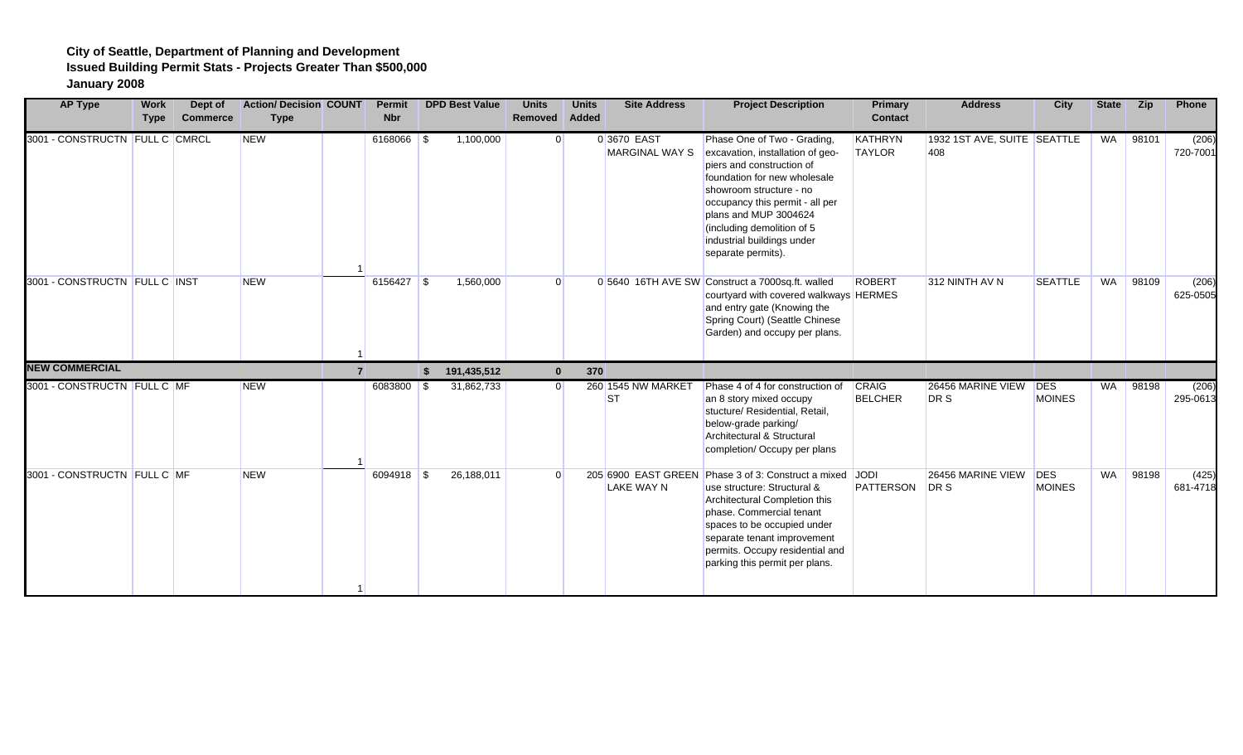| <b>AP Type</b>                 | <b>Work</b><br><b>Type</b> | Dept of<br><b>Commerce</b> | <b>Action/ Decision COUNT</b><br><b>Type</b> | <b>Permit</b><br><b>Nbr</b> | <b>DPD Best Value</b> | <b>Units</b><br>Removed Added | <b>Units</b> | <b>Site Address</b>                  | <b>Project Description</b>                                                                                                                                                                                                                                                                            | Primary<br><b>Contact</b>      | <b>Address</b>                     | City                        | <b>State</b> | Zip   | Phone             |
|--------------------------------|----------------------------|----------------------------|----------------------------------------------|-----------------------------|-----------------------|-------------------------------|--------------|--------------------------------------|-------------------------------------------------------------------------------------------------------------------------------------------------------------------------------------------------------------------------------------------------------------------------------------------------------|--------------------------------|------------------------------------|-----------------------------|--------------|-------|-------------------|
| 3001 - CONSTRUCTN FULL C CMRCL |                            |                            | <b>NEW</b>                                   | $6168066$ \$                | 1,100,000             | $\Omega$                      |              | 0 3670 EAST<br><b>MARGINAL WAY S</b> | Phase One of Two - Grading,<br>excavation, installation of geo-<br>piers and construction of<br>foundation for new wholesale<br>showroom structure - no<br>occupancy this permit - all per<br>plans and MUP 3004624<br>(including demolition of 5<br>industrial buildings under<br>separate permits). | KATHRYN<br><b>TAYLOR</b>       | 1932 1ST AVE, SUITE SEATTLE<br>408 |                             | WA           | 98101 | (206)<br>720-7001 |
| 3001 - CONSTRUCTN FULL C INST  |                            |                            | <b>NEW</b>                                   | $6156427$ \$                | 1,560,000             | $\Omega$                      |              |                                      | 0 5640 16TH AVE SW Construct a 7000sq.ft. walled<br>courtyard with covered walkways HERMES<br>and entry gate (Knowing the<br>Spring Court) (Seattle Chinese<br>Garden) and occupy per plans.                                                                                                          | <b>ROBERT</b>                  | 312 NINTH AV N                     | <b>SEATTLE</b>              | WA           | 98109 | (206)<br>625-0505 |
| <b>NEW COMMERCIAL</b>          |                            |                            |                                              |                             | \$<br>191,435,512     | $\Omega$                      | 370          |                                      |                                                                                                                                                                                                                                                                                                       |                                |                                    |                             |              |       |                   |
| 3001 - CONSTRUCTN FULL C MF    |                            |                            | <b>NEW</b>                                   | 6083800 \$                  | 31,862,733            | $\Omega$                      |              | 260 1545 NW MARKET<br><b>ST</b>      | Phase 4 of 4 for construction of<br>an 8 story mixed occupy<br>stucture/ Residential, Retail,<br>below-grade parking/<br>Architectural & Structural<br>completion/ Occupy per plans                                                                                                                   | <b>CRAIG</b><br><b>BELCHER</b> | 26456 MARINE VIEW<br>DR S          | <b>DES</b><br><b>MOINES</b> | WA           | 98198 | (206)<br>295-0613 |
| 3001 - CONSTRUCTN FULL C MF    |                            |                            | <b>NEW</b>                                   | $6094918$ \$                | 26,188,011            | $\Omega$                      |              | LAKE WAY N                           | 205 6900 EAST GREEN Phase 3 of 3: Construct a mixed JODI<br>use structure: Structural &<br>Architectural Completion this<br>phase. Commercial tenant<br>spaces to be occupied under<br>separate tenant improvement<br>permits. Occupy residential and<br>parking this permit per plans.               | PATTERSON                      | 26456 MARINE VIEW<br>DR S          | <b>DES</b><br><b>MOINES</b> | <b>WA</b>    | 98198 | (425)<br>681-4718 |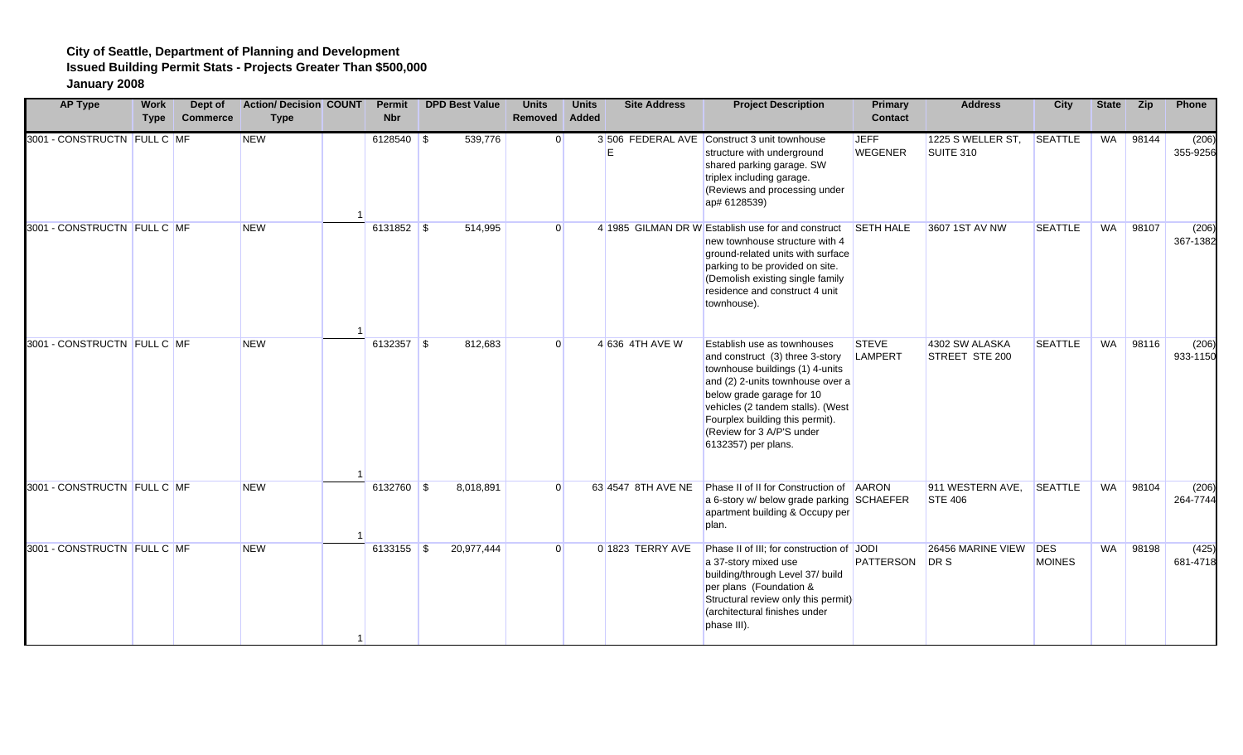| <b>AP Type</b>              | <b>Work</b><br><b>Type</b> | Dept of<br><b>Commerce</b> | <b>Action/ Decision COUNT</b><br><b>Type</b> | <b>Permit</b><br><b>Nbr</b> | <b>DPD Best Value</b> | <b>Units</b><br><b>Removed</b> | <b>Units</b><br>Added | <b>Site Address</b> | <b>Project Description</b>                                                                                                                                                                                                                                                                     | <b>Primary</b><br><b>Contact</b> | <b>Address</b>                     | City           | <b>State</b> | <b>Zip</b> | Phone             |
|-----------------------------|----------------------------|----------------------------|----------------------------------------------|-----------------------------|-----------------------|--------------------------------|-----------------------|---------------------|------------------------------------------------------------------------------------------------------------------------------------------------------------------------------------------------------------------------------------------------------------------------------------------------|----------------------------------|------------------------------------|----------------|--------------|------------|-------------------|
| 3001 - CONSTRUCTN FULL C MF |                            |                            | <b>NEW</b>                                   | $6128540$ \$                | 539,776               |                                | $\overline{0}$        | F                   | 3 506 FEDERAL AVE Construct 3 unit townhouse<br>structure with underground<br>shared parking garage. SW<br>triplex including garage.<br>(Reviews and processing under<br>ap# 6128539)                                                                                                          | <b>JEFF</b><br><b>WEGENER</b>    | 1225 S WELLER ST,<br>SUITE 310     | <b>SEATTLE</b> | WA           | 98144      | (206)<br>355-9256 |
| 3001 - CONSTRUCTN FULL C MF |                            |                            | <b>NEW</b>                                   | $6131852$ \$                | 514,995               |                                | $\Omega$              |                     | 4 1985 GILMAN DR W Establish use for and construct SETH HALE<br>new townhouse structure with 4<br>ground-related units with surface<br>parking to be provided on site.<br>(Demolish existing single family<br>residence and construct 4 unit<br>townhouse).                                    |                                  | 3607 1ST AV NW                     | <b>SEATTLE</b> | <b>WA</b>    | 98107      | (206)<br>367-1382 |
| 3001 - CONSTRUCTN FULL C MF |                            |                            | <b>NEW</b>                                   | $6132357$ \$                | 812,683               |                                | $\overline{0}$        | 4 636 4TH AVE W     | Establish use as townhouses<br>and construct (3) three 3-story<br>townhouse buildings (1) 4-units<br>and (2) 2-units townhouse over a<br>below grade garage for 10<br>vehicles (2 tandem stalls). (West<br>Fourplex building this permit).<br>(Review for 3 A/P'S under<br>6132357) per plans. | <b>STEVE</b><br>LAMPERT          | 4302 SW ALASKA<br>STREET STE 200   | <b>SEATTLE</b> | <b>WA</b>    | 98116      | (206)<br>933-1150 |
| 3001 - CONSTRUCTN FULL C MF |                            |                            | <b>NEW</b>                                   | 6132760 \$                  | 8,018,891             |                                | $\Omega$              | 63 4547 8TH AVE NE  | Phase II of II for Construction of AARON<br>a 6-story w/ below grade parking SCHAEFER<br>apartment building & Occupy per<br>plan.                                                                                                                                                              |                                  | 911 WESTERN AVE,<br><b>STE 406</b> | <b>SEATTLE</b> | <b>WA</b>    | 98104      | (206)<br>264-7744 |
| 3001 - CONSTRUCTN FULL C MF |                            |                            | <b>NEW</b>                                   | 6133155 \$                  | 20,977,444            |                                | $\Omega$              | 0 1823 TERRY AVE    | Phase II of III; for construction of JODI<br>a 37-story mixed use<br>building/through Level 37/ build<br>per plans (Foundation &<br>Structural review only this permit)<br>(architectural finishes under<br>phase III).                                                                        | PATTERSON                        | 26456 MARINE VIEW DES<br>DR S      | <b>MOINES</b>  | <b>WA</b>    | 98198      | (425)<br>681-4718 |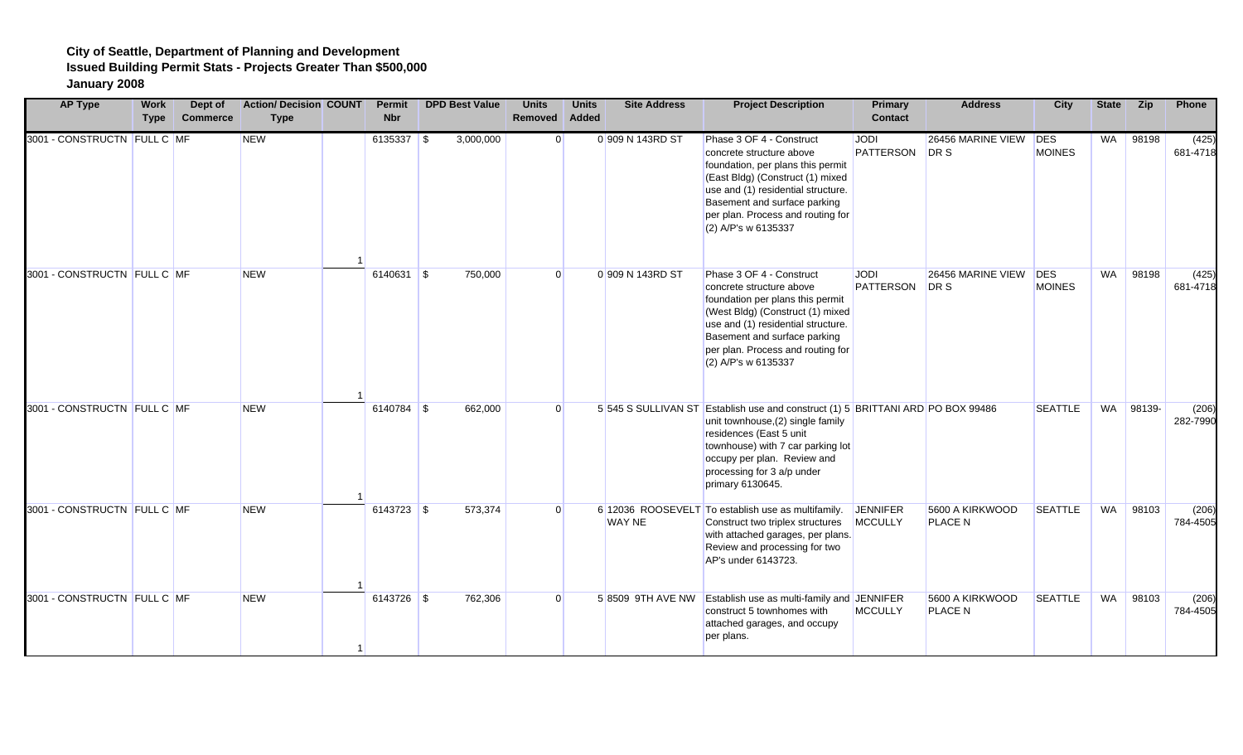| <b>AP Type</b>              | Work<br><b>Type</b> | Dept of<br><b>Commerce</b> | <b>Action/ Decision COUNT</b><br><b>Type</b> | Permit<br><b>Nbr</b> | <b>DPD Best Value</b> | <b>Units</b><br>Removed | <b>Units</b><br>Added | <b>Site Address</b> | <b>Project Description</b>                                                                                                                                                                                                                                            | <b>Primary</b><br><b>Contact</b> | <b>Address</b>                    | City                        | <b>State</b> | Zip       | Phone             |
|-----------------------------|---------------------|----------------------------|----------------------------------------------|----------------------|-----------------------|-------------------------|-----------------------|---------------------|-----------------------------------------------------------------------------------------------------------------------------------------------------------------------------------------------------------------------------------------------------------------------|----------------------------------|-----------------------------------|-----------------------------|--------------|-----------|-------------------|
| 3001 - CONSTRUCTN FULL C MF |                     |                            | <b>NEW</b>                                   | $6135337$ \$         | 3,000,000             | $\Omega$                |                       | 0 909 N 143RD ST    | Phase 3 OF 4 - Construct<br>concrete structure above<br>foundation, per plans this permit<br>(East Bldg) (Construct (1) mixed<br>use and (1) residential structure.<br>Basement and surface parking<br>per plan. Process and routing for<br>(2) A/P's w 6135337       | <b>JODI</b><br>PATTERSON         | 26456 MARINE VIEW<br>DR S         | <b>DES</b><br><b>MOINES</b> | <b>WA</b>    | 98198     | (425)<br>681-4718 |
| 3001 - CONSTRUCTN FULL C MF |                     |                            | <b>NEW</b>                                   | $6140631$ \$         | 750,000               | $\Omega$                |                       | 0 909 N 143RD ST    | Phase 3 OF 4 - Construct<br>concrete structure above<br>foundation per plans this permit<br>(West Bldg) (Construct (1) mixed<br>use and (1) residential structure.<br>Basement and surface parking<br>per plan. Process and routing for<br>(2) A/P's w 6135337        | <b>JODI</b><br><b>PATTERSON</b>  | 26456 MARINE VIEW<br>DR S         | <b>DES</b><br><b>MOINES</b> | <b>WA</b>    | 98198     | (425)<br>681-4718 |
| 3001 - CONSTRUCTN FULL C MF |                     |                            | <b>NEW</b>                                   | 6140784 \$           | 662,000               | U                       |                       |                     | 5 545 S SULLIVAN ST Establish use and construct (1) 5 BRITTANI ARD PO BOX 99486<br>unit townhouse, (2) single family<br>residences (East 5 unit<br>townhouse) with 7 car parking lot<br>occupy per plan. Review and<br>processing for 3 a/p under<br>primary 6130645. |                                  |                                   | <b>SEATTLE</b>              |              | WA 98139- | (206)<br>282-7990 |
| 3001 - CONSTRUCTN FULL C MF |                     |                            | <b>NEW</b>                                   | 6143723 \$           | 573,374               |                         |                       | <b>WAY NE</b>       | 6 12036 ROOSEVELT To establish use as multifamily.<br>Construct two triplex structures<br>with attached garages, per plans.<br>Review and processing for two<br>AP's under 6143723.                                                                                   | JENNIFER<br><b>MCCULLY</b>       | 5600 A KIRKWOOD<br><b>PLACE N</b> | <b>SEATTLE</b>              | WA           | 98103     | (206)<br>784-4505 |
| 3001 - CONSTRUCTN FULL C MF |                     |                            | <b>NEW</b>                                   | 6143726 \$           | 762,306               | $\Omega$                |                       |                     | 5 8509 9TH AVE NW Establish use as multi-family and JENNIFER<br>construct 5 townhomes with<br>attached garages, and occupy<br>per plans.                                                                                                                              | <b>MCCULLY</b>                   | 5600 A KIRKWOOD<br><b>PLACE N</b> | <b>SEATTLE</b>              | <b>WA</b>    | 98103     | (206)<br>784-4505 |